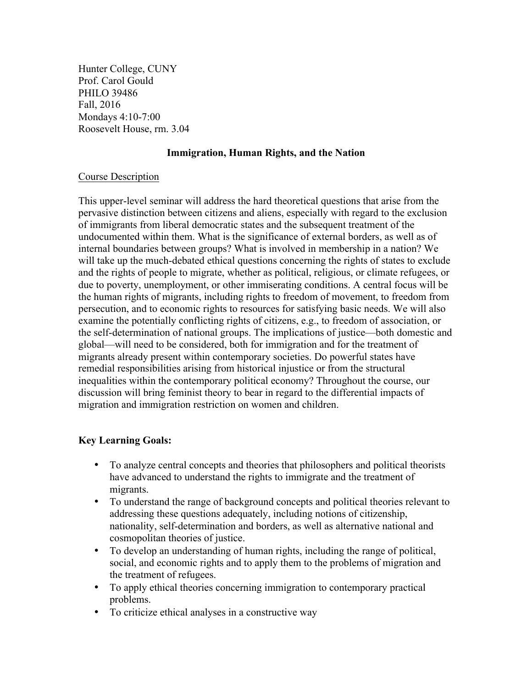Hunter College, CUNY Prof. Carol Gould PHILO 39486 Fall, 2016 Mondays 4:10-7:00 Roosevelt House, rm. 3.04

### **Immigration, Human Rights, and the Nation**

#### Course Description

This upper-level seminar will address the hard theoretical questions that arise from the pervasive distinction between citizens and aliens, especially with regard to the exclusion of immigrants from liberal democratic states and the subsequent treatment of the undocumented within them. What is the significance of external borders, as well as of internal boundaries between groups? What is involved in membership in a nation? We will take up the much-debated ethical questions concerning the rights of states to exclude and the rights of people to migrate, whether as political, religious, or climate refugees, or due to poverty, unemployment, or other immiserating conditions. A central focus will be the human rights of migrants, including rights to freedom of movement, to freedom from persecution, and to economic rights to resources for satisfying basic needs. We will also examine the potentially conflicting rights of citizens, e.g., to freedom of association, or the self-determination of national groups. The implications of justice—both domestic and global—will need to be considered, both for immigration and for the treatment of migrants already present within contemporary societies. Do powerful states have remedial responsibilities arising from historical injustice or from the structural inequalities within the contemporary political economy? Throughout the course, our discussion will bring feminist theory to bear in regard to the differential impacts of migration and immigration restriction on women and children.

#### **Key Learning Goals:**

- To analyze central concepts and theories that philosophers and political theorists have advanced to understand the rights to immigrate and the treatment of migrants.
- To understand the range of background concepts and political theories relevant to addressing these questions adequately, including notions of citizenship, nationality, self-determination and borders, as well as alternative national and cosmopolitan theories of justice.
- To develop an understanding of human rights, including the range of political, social, and economic rights and to apply them to the problems of migration and the treatment of refugees.
- To apply ethical theories concerning immigration to contemporary practical problems.
- To criticize ethical analyses in a constructive way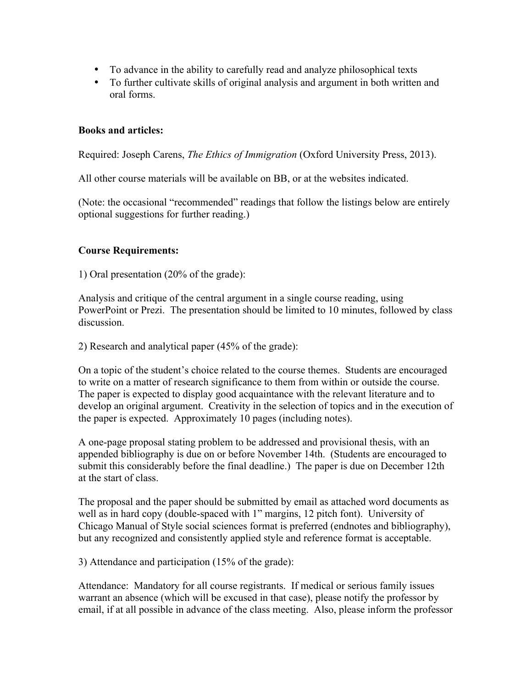- To advance in the ability to carefully read and analyze philosophical texts
- To further cultivate skills of original analysis and argument in both written and oral forms.

## **Books and articles:**

Required: Joseph Carens, *The Ethics of Immigration* (Oxford University Press, 2013).

All other course materials will be available on BB, or at the websites indicated.

(Note: the occasional "recommended" readings that follow the listings below are entirely optional suggestions for further reading.)

### **Course Requirements:**

1) Oral presentation (20% of the grade):

Analysis and critique of the central argument in a single course reading, using PowerPoint or Prezi. The presentation should be limited to 10 minutes, followed by class discussion.

2) Research and analytical paper (45% of the grade):

On a topic of the student's choice related to the course themes. Students are encouraged to write on a matter of research significance to them from within or outside the course. The paper is expected to display good acquaintance with the relevant literature and to develop an original argument. Creativity in the selection of topics and in the execution of the paper is expected. Approximately 10 pages (including notes).

A one-page proposal stating problem to be addressed and provisional thesis, with an appended bibliography is due on or before November 14th. (Students are encouraged to submit this considerably before the final deadline.) The paper is due on December 12th at the start of class.

The proposal and the paper should be submitted by email as attached word documents as well as in hard copy (double-spaced with 1" margins, 12 pitch font). University of Chicago Manual of Style social sciences format is preferred (endnotes and bibliography), but any recognized and consistently applied style and reference format is acceptable.

3) Attendance and participation (15% of the grade):

Attendance: Mandatory for all course registrants. If medical or serious family issues warrant an absence (which will be excused in that case), please notify the professor by email, if at all possible in advance of the class meeting. Also, please inform the professor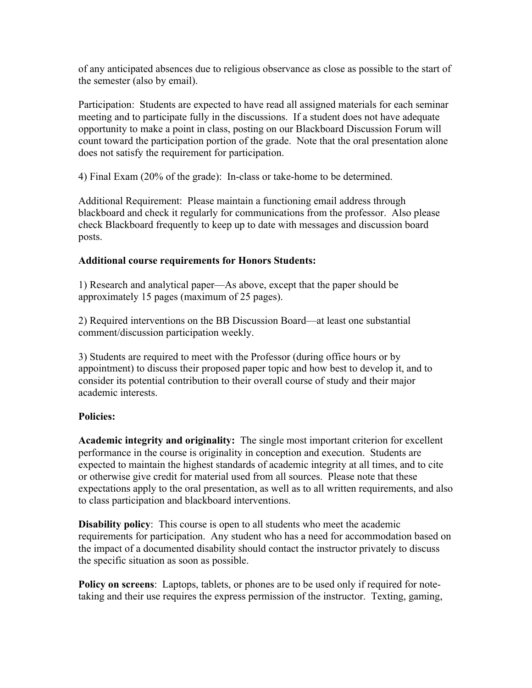of any anticipated absences due to religious observance as close as possible to the start of the semester (also by email).

Participation: Students are expected to have read all assigned materials for each seminar meeting and to participate fully in the discussions. If a student does not have adequate opportunity to make a point in class, posting on our Blackboard Discussion Forum will count toward the participation portion of the grade. Note that the oral presentation alone does not satisfy the requirement for participation.

4) Final Exam (20% of the grade): In-class or take-home to be determined.

Additional Requirement: Please maintain a functioning email address through blackboard and check it regularly for communications from the professor. Also please check Blackboard frequently to keep up to date with messages and discussion board posts.

### **Additional course requirements for Honors Students:**

1) Research and analytical paper—As above, except that the paper should be approximately 15 pages (maximum of 25 pages).

2) Required interventions on the BB Discussion Board—at least one substantial comment/discussion participation weekly.

3) Students are required to meet with the Professor (during office hours or by appointment) to discuss their proposed paper topic and how best to develop it, and to consider its potential contribution to their overall course of study and their major academic interests.

## **Policies:**

**Academic integrity and originality:** The single most important criterion for excellent performance in the course is originality in conception and execution. Students are expected to maintain the highest standards of academic integrity at all times, and to cite or otherwise give credit for material used from all sources. Please note that these expectations apply to the oral presentation, as well as to all written requirements, and also to class participation and blackboard interventions.

**Disability policy**: This course is open to all students who meet the academic requirements for participation. Any student who has a need for accommodation based on the impact of a documented disability should contact the instructor privately to discuss the specific situation as soon as possible.

**Policy on screens**: Laptops, tablets, or phones are to be used only if required for notetaking and their use requires the express permission of the instructor. Texting, gaming,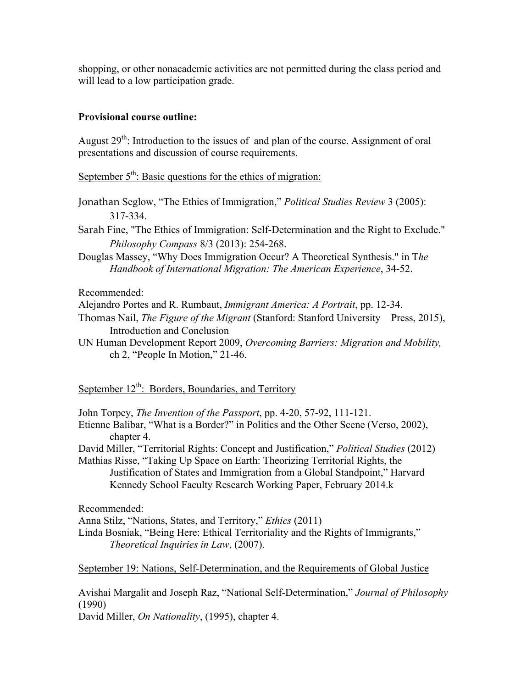shopping, or other nonacademic activities are not permitted during the class period and will lead to a low participation grade.

## **Provisional course outline:**

August  $29<sup>th</sup>$ : Introduction to the issues of and plan of the course. Assignment of oral presentations and discussion of course requirements.

September  $5<sup>th</sup>$ : Basic questions for the ethics of migration:

- Jonathan Seglow, "The Ethics of Immigration," *Political Studies Review* 3 (2005): 317-334.
- Sarah Fine, "The Ethics of Immigration: Self-Determination and the Right to Exclude." *Philosophy Compass* 8/3 (2013): 254-268.
- Douglas Massey, "Why Does Immigration Occur? A Theoretical Synthesis." in T*he Handbook of International Migration: The American Experience*, 34-52.

Recommended:

Alejandro Portes and R. Rumbaut, *Immigrant America: A Portrait*, pp. 12-34.

- Thomas Nail, *The Figure of the Migrant* (Stanford: Stanford University Press, 2015), Introduction and Conclusion
- UN Human Development Report 2009, *Overcoming Barriers: Migration and Mobility,*  ch 2, "People In Motion," 21-46.

September  $12<sup>th</sup>$ : Borders, Boundaries, and Territory

John Torpey, *The Invention of the Passport*, pp. 4-20, 57-92, 111-121.

Etienne Balibar, "What is a Border?" in Politics and the Other Scene (Verso, 2002), chapter 4.

David Miller, "Territorial Rights: Concept and Justification," *Political Studies* (2012)

Mathias Risse, "Taking Up Space on Earth: Theorizing Territorial Rights, the Justification of States and Immigration from a Global Standpoint," Harvard Kennedy School Faculty Research Working Paper, February 2014.k

Recommended:

Anna Stilz, "Nations, States, and Territory," *Ethics* (2011)

Linda Bosniak, "Being Here: Ethical Territoriality and the Rights of Immigrants," *Theoretical Inquiries in Law*, (2007).

September 19: Nations, Self-Determination, and the Requirements of Global Justice

Avishai Margalit and Joseph Raz, "National Self-Determination," *Journal of Philosophy*  (1990)

David Miller, *On Nationality*, (1995), chapter 4.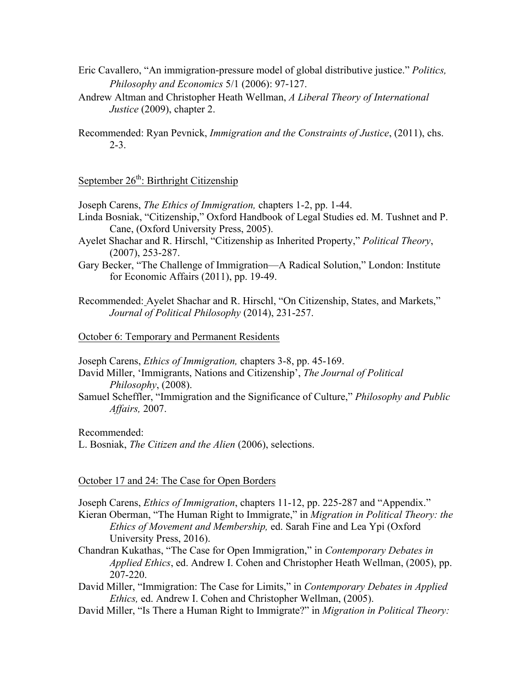- Eric Cavallero, "An immigration-pressure model of global distributive justice." *Politics, Philosophy and Economics* 5/1 (2006): 97-127.
- Andrew Altman and Christopher Heath Wellman, *A Liberal Theory of International Justice* (2009), chapter 2.
- Recommended: Ryan Pevnick, *Immigration and the Constraints of Justice*, (2011), chs. 2-3.

# September  $26^{th}$ : Birthright Citizenship

Joseph Carens, *The Ethics of Immigration,* chapters 1-2, pp. 1-44.

- Linda Bosniak, "Citizenship," Oxford Handbook of Legal Studies ed. M. Tushnet and P. Cane, (Oxford University Press, 2005).
- Ayelet Shachar and R. Hirschl, "Citizenship as Inherited Property," *Political Theory*, (2007), 253-287.
- Gary Becker, "The Challenge of Immigration—A Radical Solution," London: Institute for Economic Affairs (2011), pp. 19-49.
- Recommended: Ayelet Shachar and R. Hirschl, "On Citizenship, States, and Markets," *Journal of Political Philosophy* (2014), 231-257.

#### October 6: Temporary and Permanent Residents

Joseph Carens, *Ethics of Immigration,* chapters 3-8, pp. 45-169.

- David Miller, 'Immigrants, Nations and Citizenship', *The Journal of Political Philosophy*, (2008).
- Samuel Scheffler, "Immigration and the Significance of Culture," *Philosophy and Public Affairs,* 2007.

Recommended:

L. Bosniak, *The Citizen and the Alien* (2006), selections.

#### October 17 and 24: The Case for Open Borders

Joseph Carens, *Ethics of Immigration*, chapters 11-12, pp. 225-287 and "Appendix."

- Kieran Oberman, "The Human Right to Immigrate," in *Migration in Political Theory: the Ethics of Movement and Membership,* ed. Sarah Fine and Lea Ypi (Oxford University Press, 2016).
- Chandran Kukathas, "The Case for Open Immigration," in *Contemporary Debates in Applied Ethics*, ed. Andrew I. Cohen and Christopher Heath Wellman, (2005), pp. 207-220.
- David Miller, "Immigration: The Case for Limits," in *Contemporary Debates in Applied Ethics,* ed. Andrew I. Cohen and Christopher Wellman, (2005).
- David Miller, "Is There a Human Right to Immigrate?" in *Migration in Political Theory:*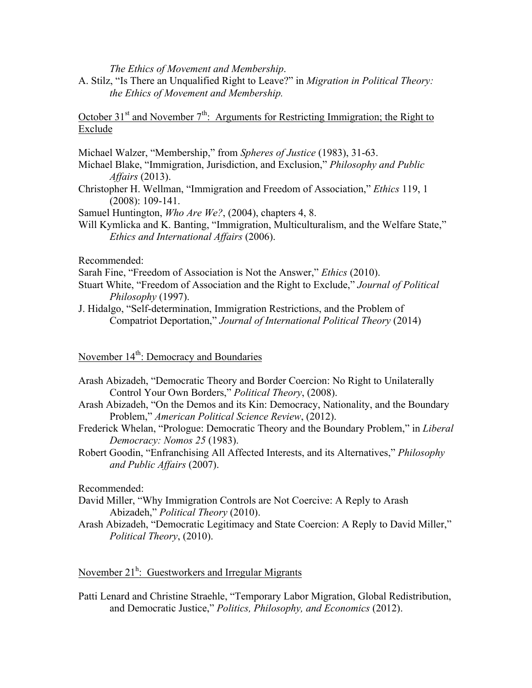*The Ethics of Movement and Membership*.

A. Stilz, "Is There an Unqualified Right to Leave?" in *Migration in Political Theory: the Ethics of Movement and Membership.*

October 31<sup>st</sup> and November  $7<sup>th</sup>$ : Arguments for Restricting Immigration; the Right to Exclude

Michael Walzer, "Membership," from *Spheres of Justice* (1983), 31-63.

- Michael Blake, "Immigration, Jurisdiction, and Exclusion," *Philosophy and Public Affairs* (2013).
- Christopher H. Wellman, "Immigration and Freedom of Association," *Ethics* 119, 1 (2008): 109-141.

Samuel Huntington, *Who Are We?*, (2004), chapters 4, 8.

Will Kymlicka and K. Banting, "Immigration, Multiculturalism, and the Welfare State," *Ethics and International Affairs* (2006).

Recommended:

- Sarah Fine, "Freedom of Association is Not the Answer," *Ethics* (2010).
- Stuart White, "Freedom of Association and the Right to Exclude," *Journal of Political Philosophy* (1997).
- J. Hidalgo, "Self-determination, Immigration Restrictions, and the Problem of Compatriot Deportation," *Journal of International Political Theory* (2014)

November 14<sup>th</sup>: Democracy and Boundaries

- Arash Abizadeh, "Democratic Theory and Border Coercion: No Right to Unilaterally Control Your Own Borders," *Political Theory*, (2008).
- Arash Abizadeh, "On the Demos and its Kin: Democracy, Nationality, and the Boundary Problem," *American Political Science Review*, (2012).
- Frederick Whelan, "Prologue: Democratic Theory and the Boundary Problem," in *Liberal Democracy: Nomos 25* (1983).
- Robert Goodin, "Enfranchising All Affected Interests, and its Alternatives," *Philosophy and Public Affairs* (2007).

Recommended:

- David Miller, "Why Immigration Controls are Not Coercive: A Reply to Arash Abizadeh," *Political Theory* (2010).
- Arash Abizadeh, "Democratic Legitimacy and State Coercion: A Reply to David Miller," *Political Theory*, (2010).

## November  $21^h$ : Guestworkers and Irregular Migrants

Patti Lenard and Christine Straehle, "Temporary Labor Migration, Global Redistribution, and Democratic Justice," *Politics, Philosophy, and Economics* (2012).